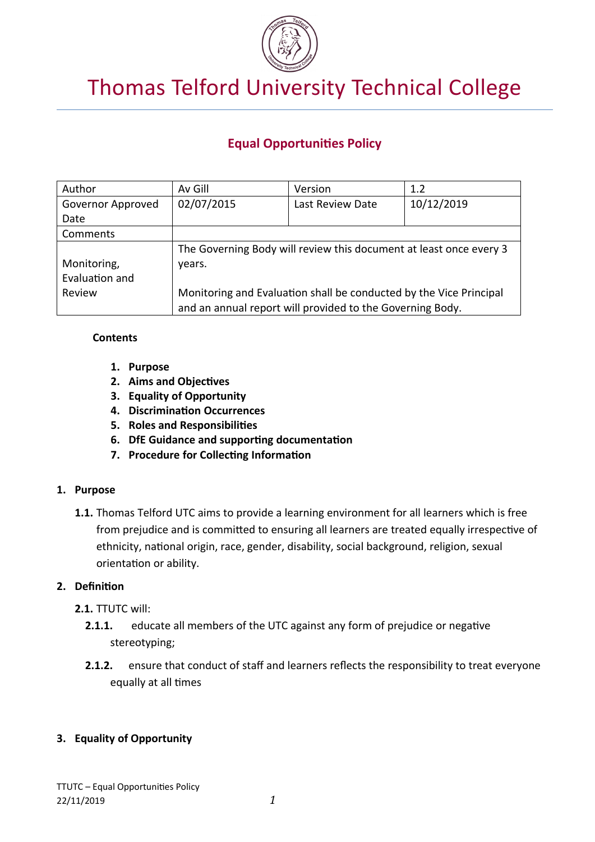

# Thomas Telford University Technical College

## **Equal Opportunities Policy**

| Author            | Av Gill                                                            | Version          | 1.2        |  |
|-------------------|--------------------------------------------------------------------|------------------|------------|--|
| Governor Approved | 02/07/2015                                                         | Last Review Date | 10/12/2019 |  |
| Date              |                                                                    |                  |            |  |
| Comments          |                                                                    |                  |            |  |
|                   | The Governing Body will review this document at least once every 3 |                  |            |  |
| Monitoring,       | years.                                                             |                  |            |  |
| Evaluation and    |                                                                    |                  |            |  |
| Review            | Monitoring and Evaluation shall be conducted by the Vice Principal |                  |            |  |
|                   | and an annual report will provided to the Governing Body.          |                  |            |  |

#### **Contents**

- **1. Purpose**
- **2. Aims and Objectives**
- **3. Equality of Opportunity**
- **4. Discrimination Occurrences**
- **5. Roles and Responsibilities**
- **6. DfE Guidance and supporting documentation**
- **7. Procedure for Collecting Information**

## **1. Purpose**

**1.1.** Thomas Telford UTC aims to provide a learning environment for all learners which is free from prejudice and is committed to ensuring all learners are treated equally irrespective of ethnicity, national origin, race, gender, disability, social background, religion, sexual orientation or ability.

## **2. Definition**

- **2.1.** TTUTC will:
	- **2.1.1.** educate all members of the UTC against any form of prejudice or negative stereotyping;
	- **2.1.2.** ensure that conduct of staff and learners reflects the responsibility to treat everyone equally at all times

## **3. Equality of Opportunity**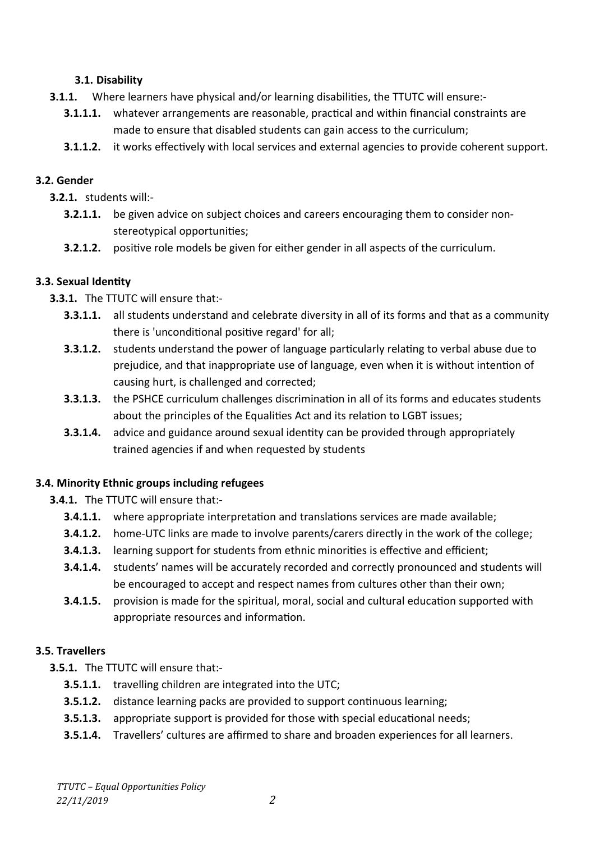## **3.1. Disability**

- **3.1.1.** Where learners have physical and/or learning disabilities, the TTUTC will ensure:-
	- **3.1.1.1.** whatever arrangements are reasonable, practical and within financial constraints are made to ensure that disabled students can gain access to the curriculum;
	- **3.1.1.2.** it works effectively with local services and external agencies to provide coherent support.

## **3.2. Gender**

- **3.2.1.** students will:-
	- **3.2.1.1.** be given advice on subject choices and careers encouraging them to consider nonstereotypical opportunities;
	- **3.2.1.2.** positive role models be given for either gender in all aspects of the curriculum.

## **3.3. Sexual Identity**

- **3.3.1.** The TTUTC will ensure that:-
	- **3.3.1.1.** all students understand and celebrate diversity in all of its forms and that as a community there is 'unconditional positive regard' for all;
	- **3.3.1.2.** students understand the power of language particularly relating to verbal abuse due to prejudice, and that inappropriate use of language, even when it is without intention of causing hurt, is challenged and corrected;
	- **3.3.1.3.** the PSHCE curriculum challenges discrimination in all of its forms and educates students about the principles of the Equalities Act and its relation to LGBT issues;
	- **3.3.1.4.** advice and guidance around sexual identity can be provided through appropriately trained agencies if and when requested by students

## **3.4. Minority Ethnic groups including refugees**

**3.4.1.** The TTUTC will ensure that:-

- **3.4.1.1.** where appropriate interpretation and translations services are made available;
- **3.4.1.2.** home-UTC links are made to involve parents/carers directly in the work of the college;
- **3.4.1.3.** learning support for students from ethnic minorities is effective and efficient;
- **3.4.1.4.** students' names will be accurately recorded and correctly pronounced and students will be encouraged to accept and respect names from cultures other than their own;
- **3.4.1.5.** provision is made for the spiritual, moral, social and cultural education supported with appropriate resources and information.

## **3.5. Travellers**

**3.5.1.** The TTUTC will ensure that:-

- **3.5.1.1.** travelling children are integrated into the UTC;
- **3.5.1.2.** distance learning packs are provided to support continuous learning;
- **3.5.1.3.** appropriate support is provided for those with special educational needs;
- **3.5.1.4.** Travellers' cultures are affirmed to share and broaden experiences for all learners.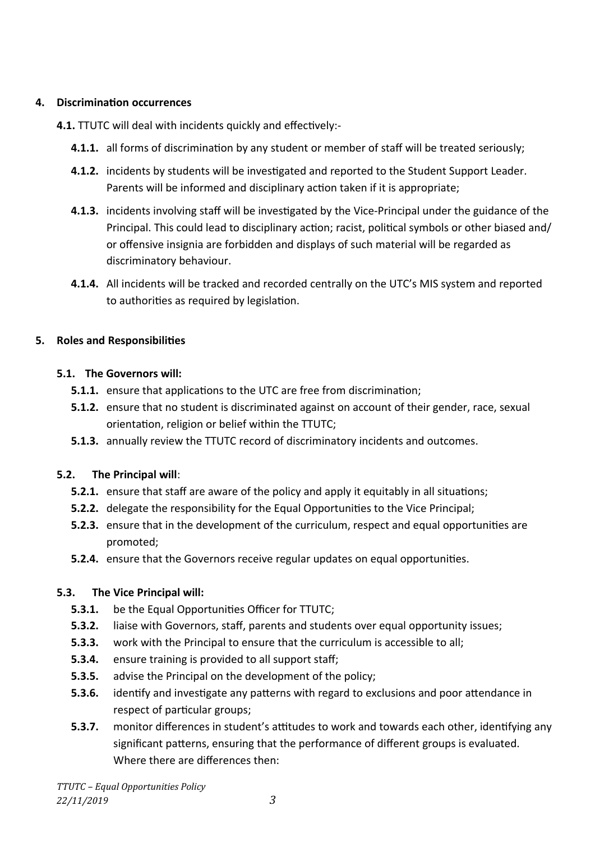## **4. Discrimination occurrences**

**4.1.** TTUTC will deal with incidents quickly and effectively:-

- **4.1.1.** all forms of discrimination by any student or member of staff will be treated seriously;
- **4.1.2.** incidents by students will be investigated and reported to the Student Support Leader. Parents will be informed and disciplinary action taken if it is appropriate;
- **4.1.3.** incidents involving staff will be investigated by the Vice-Principal under the guidance of the Principal. This could lead to disciplinary action; racist, political symbols or other biased and/ or offensive insignia are forbidden and displays of such material will be regarded as discriminatory behaviour.
- **4.1.4.** All incidents will be tracked and recorded centrally on the UTC's MIS system and reported to authorities as required by legislation.

## **5. Roles and Responsibilities**

## **5.1. The Governors will:**

- **5.1.1.** ensure that applications to the UTC are free from discrimination;
- **5.1.2.** ensure that no student is discriminated against on account of their gender, race, sexual orientation, religion or belief within the TTUTC;
- **5.1.3.** annually review the TTUTC record of discriminatory incidents and outcomes.

## **5.2. The Principal will**:

- **5.2.1.** ensure that staff are aware of the policy and apply it equitably in all situations;
- **5.2.2.** delegate the responsibility for the Equal Opportunities to the Vice Principal;
- **5.2.3.** ensure that in the development of the curriculum, respect and equal opportunities are promoted;
- **5.2.4.** ensure that the Governors receive regular updates on equal opportunities.

## **5.3. The Vice Principal will:**

- **5.3.1.** be the Equal Opportunities Officer for TTUTC;
- **5.3.2.** liaise with Governors, staff, parents and students over equal opportunity issues;
- **5.3.3.** work with the Principal to ensure that the curriculum is accessible to all;
- **5.3.4.** ensure training is provided to all support staff;
- **5.3.5.** advise the Principal on the development of the policy;
- **5.3.6.** identify and investigate any patterns with regard to exclusions and poor attendance in respect of particular groups;
- **5.3.7.** monitor differences in student's attitudes to work and towards each other, identifying any significant patterns, ensuring that the performance of different groups is evaluated. Where there are differences then: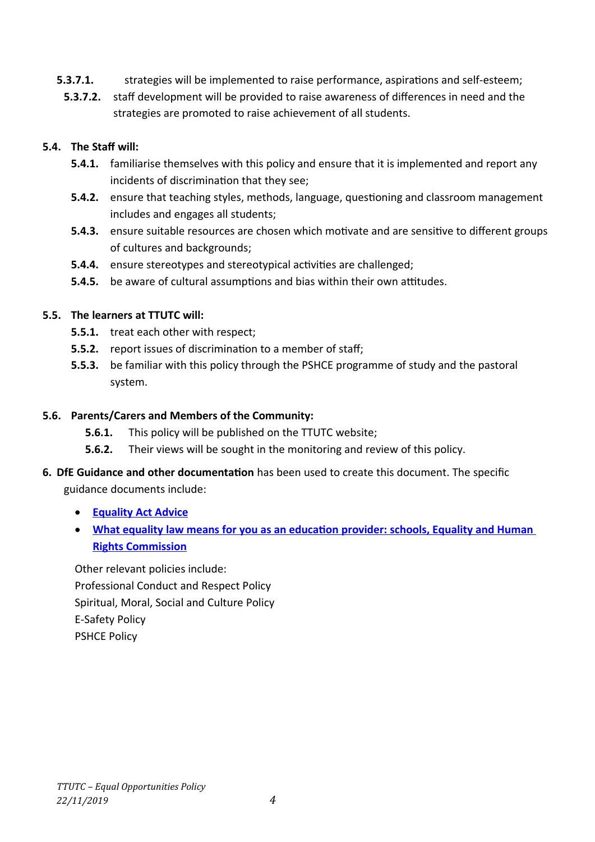- **5.3.7.1.** strategies will be implemented to raise performance, aspirations and self-esteem;
	- **5.3.7.2.** staff development will be provided to raise awareness of differences in need and the strategies are promoted to raise achievement of all students.

## **5.4. The Staff will:**

- **5.4.1.** familiarise themselves with this policy and ensure that it is implemented and report any incidents of discrimination that they see;
- **5.4.2.** ensure that teaching styles, methods, language, questioning and classroom management includes and engages all students;
- **5.4.3.** ensure suitable resources are chosen which motivate and are sensitive to different groups of cultures and backgrounds;
- **5.4.4.** ensure stereotypes and stereotypical activities are challenged;
- **5.4.5.** be aware of cultural assumptions and bias within their own attitudes.

## **5.5. The learners at TTUTC will:**

- **5.5.1.** treat each other with respect;
- **5.5.2.** report issues of discrimination to a member of staff;
- **5.5.3.** be familiar with this policy through the PSHCE programme of study and the pastoral system.

## **5.6. Parents/Carers and Members of the Community:**

- **5.6.1.** This policy will be published on the TTUTC website;
- **5.6.2.** Their views will be sought in the monitoring and review of this policy.
- **6. DfE Guidance and other documentation** has been used to create this document. The specific guidance documents include:
	- **[Equality Act Advice](https://www.gov.uk/government/uploads/system/uploads/attachment_data/file/315587/Equality_Act_Advice_Final.pdf)**
	- **[What equality law means for you as an education provider: schools, Equality and Human](https://schoolleaders.thekeysupport.com/administration-and-management/administration-and-management/policies-documents/equality-inclusion/resolvelink?id=135034)  [Rights Commission](https://schoolleaders.thekeysupport.com/administration-and-management/administration-and-management/policies-documents/equality-inclusion/resolvelink?id=135034)**

Other relevant policies include: Professional Conduct and Respect Policy Spiritual, Moral, Social and Culture Policy E-Safety Policy PSHCE Policy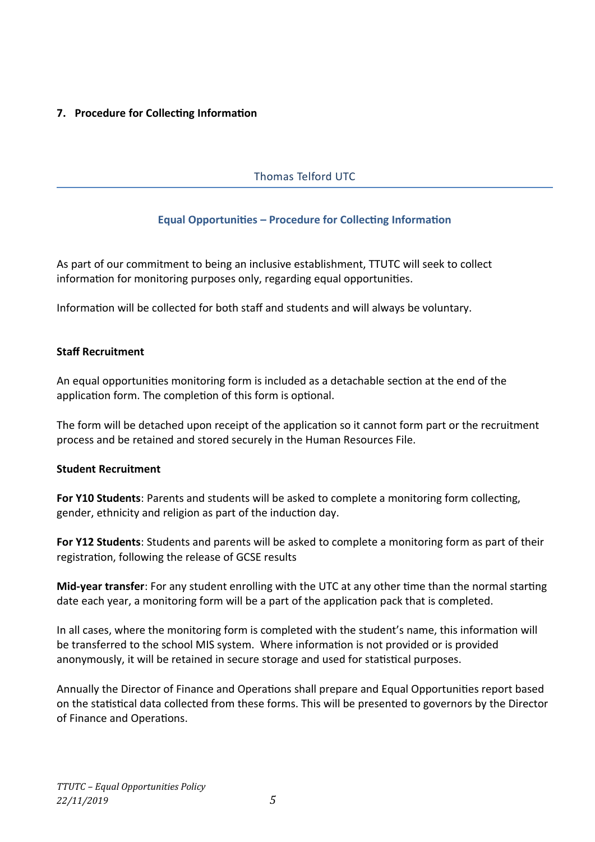## **7. Procedure for Collecting Information**

## Thomas Telford UTC

## **Equal Opportunities – Procedure for Collecting Information**

As part of our commitment to being an inclusive establishment, TTUTC will seek to collect information for monitoring purposes only, regarding equal opportunities.

Information will be collected for both staff and students and will always be voluntary.

#### **Staff Recruitment**

An equal opportunities monitoring form is included as a detachable section at the end of the application form. The completion of this form is optional.

The form will be detached upon receipt of the application so it cannot form part or the recruitment process and be retained and stored securely in the Human Resources File.

#### **Student Recruitment**

**For Y10 Students**: Parents and students will be asked to complete a monitoring form collecting, gender, ethnicity and religion as part of the induction day.

**For Y12 Students**: Students and parents will be asked to complete a monitoring form as part of their registration, following the release of GCSE results

**Mid-year transfer**: For any student enrolling with the UTC at any other time than the normal starting date each year, a monitoring form will be a part of the application pack that is completed.

In all cases, where the monitoring form is completed with the student's name, this information will be transferred to the school MIS system. Where information is not provided or is provided anonymously, it will be retained in secure storage and used for statistical purposes.

Annually the Director of Finance and Operations shall prepare and Equal Opportunities report based on the statistical data collected from these forms. This will be presented to governors by the Director of Finance and Operations.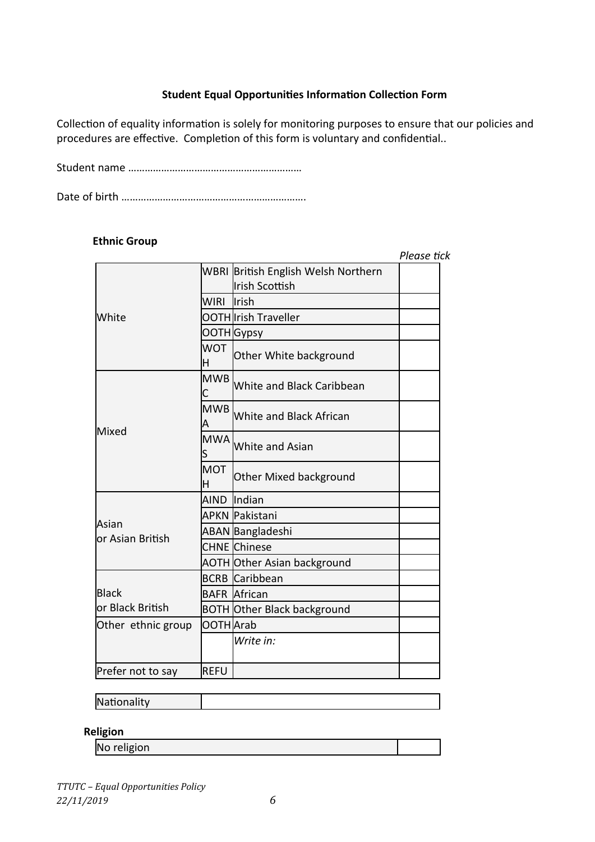## **Student Equal Opportunities Information Collection Form**

Collection of equality information is solely for monitoring purposes to ensure that our policies and procedures are effective. Completion of this form is voluntary and confidential..

Student name ………………………………………………………

Date of birth ………………………………………………………….

#### **Ethnic Group**

|                             |                 |                                     | Please tick |
|-----------------------------|-----------------|-------------------------------------|-------------|
|                             |                 | WBRI British English Welsh Northern |             |
|                             |                 | lIrish Scottish                     |             |
|                             | WIRI            | lIrish                              |             |
| White                       |                 | OOTH Irish Traveller                |             |
|                             |                 | ΟΟΤΗ <mark>Gypsy</mark>             |             |
|                             | <b>WOT</b><br>Н | Other White background              |             |
|                             | <b>MWB</b>      | White and Black Caribbean           |             |
|                             | <b>MWB</b>      | White and Black African             |             |
| lMixed                      | <b>MWA</b>      | White and Asian                     |             |
|                             | <b>MOT</b><br>н | Other Mixed background              |             |
|                             |                 | AIND Indian                         |             |
|                             |                 | APKN Pakistani                      |             |
| lAsian<br>lor Asian British |                 | ABAN Bangladeshi                    |             |
|                             |                 | CHNE lChinese                       |             |
|                             |                 | <b>AOTH Other Asian background</b>  |             |
|                             |                 | BCRB Caribbean                      |             |
| lBlack                      |                 | <b>BAFR African</b>                 |             |
| lor Black British           |                 | <b>BOTH Other Black background</b>  |             |
| Other ethnic group          | OOTH Arab       |                                     |             |
|                             |                 | Write in:                           |             |
| Prefer not to say           | REFU            |                                     |             |

## **Nationality**

## **Religion**

No religion